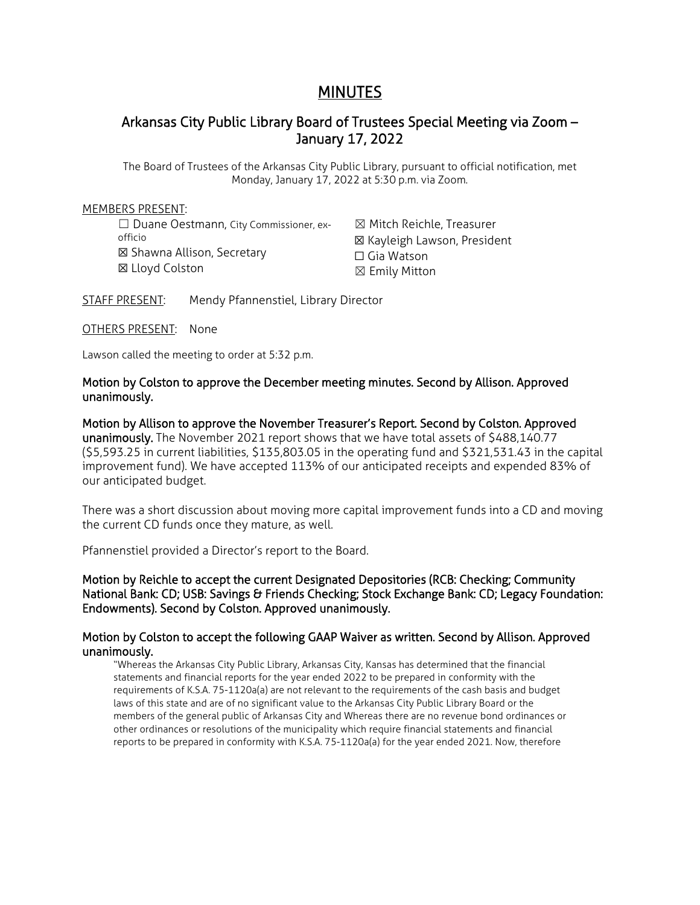## MINUTES

## Arkansas City Public Library Board of Trustees Special Meeting via Zoom – January 17, 2022

The Board of Trustees of the Arkansas City Public Library, pursuant to official notification, met Monday, January 17, 2022 at 5:30 p.m. via Zoom.

### MEMBERS PRESENT:

☐ Duane Oestmann, City Commissioner, exofficio ☒ Shawna Allison, Secretary ☒ Lloyd Colston

☒ Mitch Reichle, Treasurer ☒ Kayleigh Lawson, President ☐ Gia Watson ☒ Emily Mitton

STAFF PRESENT: Mendy Pfannenstiel, Library Director

OTHERS PRESENT: None

Lawson called the meeting to order at 5:32 p.m.

## Motion by Colston to approve the December meeting minutes. Second by Allison. Approved unanimously.

Motion by Allison to approve the November Treasurer's Report. Second by Colston. Approved unanimously. The November 2021 report shows that we have total assets of \$488,140.77 (\$5,593.25 in current liabilities, \$135,803.05 in the operating fund and \$321,531.43 in the capital improvement fund). We have accepted 113% of our anticipated receipts and expended 83% of our anticipated budget.

There was a short discussion about moving more capital improvement funds into a CD and moving the current CD funds once they mature, as well.

Pfannenstiel provided a Director's report to the Board.

Motion by Reichle to accept the current Designated Depositories (RCB: Checking; Community National Bank: CD; USB: Savings & Friends Checking; Stock Exchange Bank: CD; Legacy Foundation: Endowments). Second by Colston. Approved unanimously.

## Motion by Colston to accept the following GAAP Waiver as written. Second by Allison. Approved unanimously.

"Whereas the Arkansas City Public Library, Arkansas City, Kansas has determined that the financial statements and financial reports for the year ended 2022 to be prepared in conformity with the requirements of K.S.A. 75-1120a(a) are not relevant to the requirements of the cash basis and budget laws of this state and are of no significant value to the Arkansas City Public Library Board or the members of the general public of Arkansas City and Whereas there are no revenue bond ordinances or other ordinances or resolutions of the municipality which require financial statements and financial reports to be prepared in conformity with K.S.A. 75-1120a(a) for the year ended 2021. Now, therefore